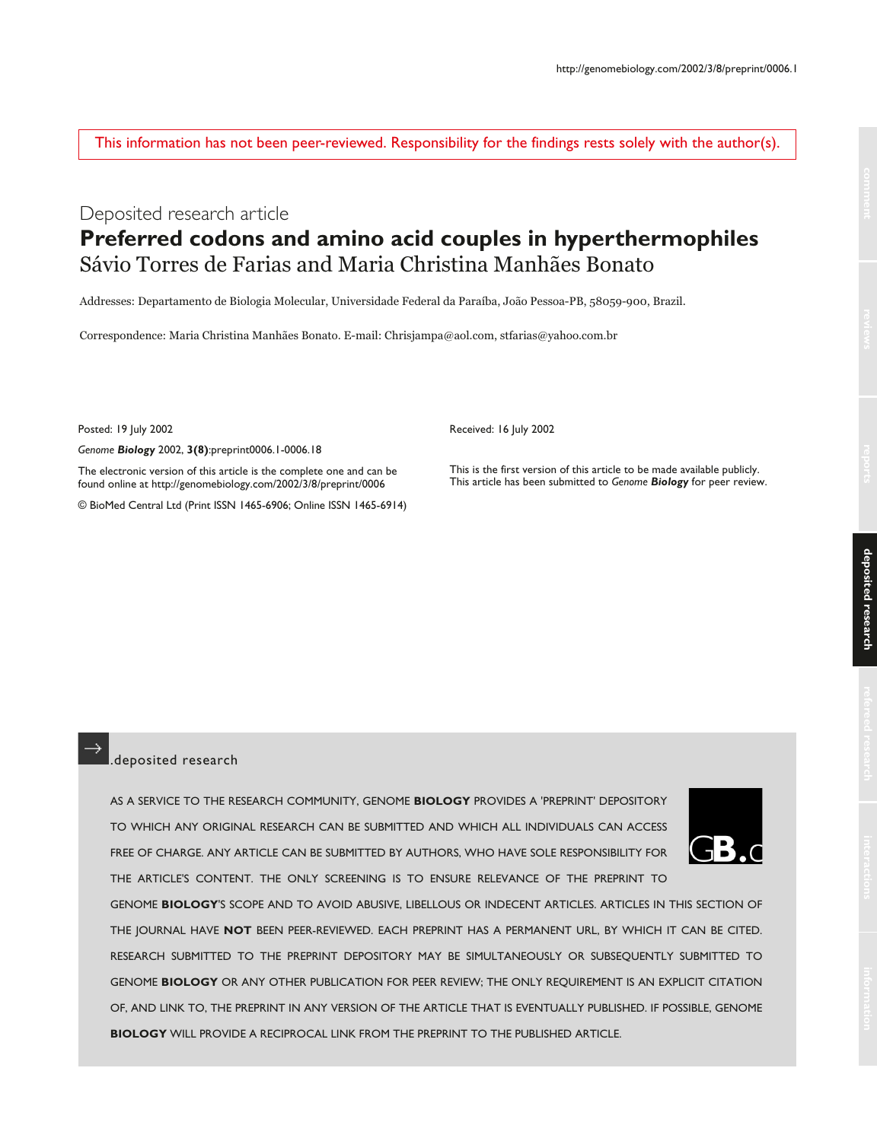This information has not been peer-reviewed. Responsibility for the findings rests solely with the author(s).

# Deposited research article **Preferred codons and amino acid couples in hyperthermophiles** Sávio Torres de Farias and Maria Christina Manhães Bonato

Addresses: Departamento de Biologia Molecular, Universidade Federal da Paraíba, João Pessoa-PB, 58059-900, Brazil.

Correspondence: Maria Christina Manhães Bonato. E-mail: Chrisjampa@aol.com, stfarias@yahoo.com.br

Posted: 19 July 2002

*Genome Biology* 2002, **3(8)**:preprint0006.1-0006.18 The electronic version of this article is the complete one and can be found online at http://genomebiology.com/2002/3/8/preprint/0006

© BioMed Central Ltd (Print ISSN 1465-6906; Online ISSN 1465-6914)

Received: 16 July 2002

This is the first version of this article to be made available publicly. This article has been submitted to *Genome Biology* for peer review.

#### .deposited research

AS A SERVICE TO THE RESEARCH COMMUNITY, GENOME **BIOLOGY** PROVIDES A 'PREPRINT' DEPOSITORY TO WHICH ANY ORIGINAL RESEARCH CAN BE SUBMITTED AND WHICH ALL INDIVIDUALS CAN ACCESS FREE OF CHARGE. ANY ARTICLE CAN BE SUBMITTED BY AUTHORS, WHO HAVE SOLE RESPONSIBILITY FOR THE ARTICLE'S CONTENT. THE ONLY SCREENING IS TO ENSURE RELEVANCE OF THE PREPRINT TO

GENOME **BIOLOGY**'S SCOPE AND TO AVOID ABUSIVE, LIBELLOUS OR INDECENT ARTICLES. ARTICLES IN THIS SECTION OF THE JOURNAL HAVE **NOT** BEEN PEER-REVIEWED. EACH PREPRINT HAS A PERMANENT URL, BY WHICH IT CAN BE CITED. RESEARCH SUBMITTED TO THE PREPRINT DEPOSITORY MAY BE SIMULTANEOUSLY OR SUBSEQUENTLY SUBMITTED TO GENOME **BIOLOGY** OR ANY OTHER PUBLICATION FOR PEER REVIEW; THE ONLY REQUIREMENT IS AN EXPLICIT CITATION OF, AND LINK TO, THE PREPRINT IN ANY VERSION OF THE ARTICLE THAT IS EVENTUALLY PUBLISHED. IF POSSIBLE, GENOME **BIOLOGY** WILL PROVIDE A RECIPROCAL LINK FROM THE PREPRINT TO THE PUBLISHED ARTICLE.

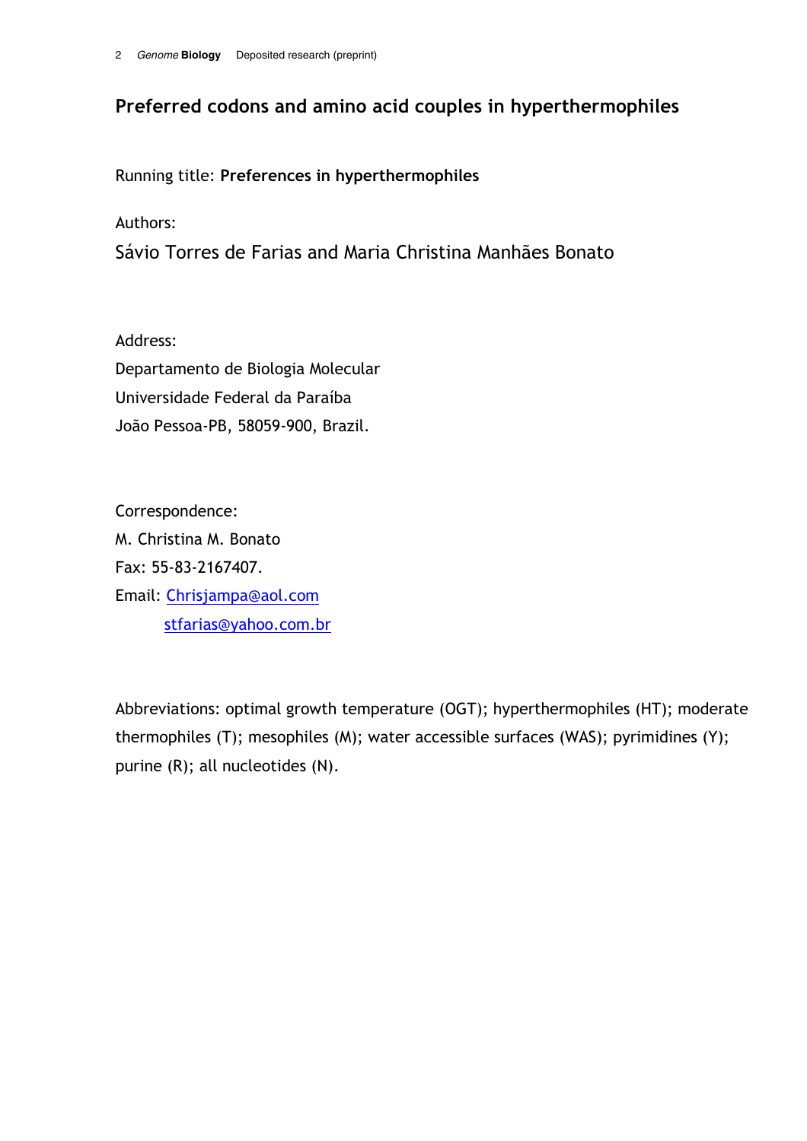# Preferred codons and amino acid couples in hyperthermophiles

Running title: Preferences in hyperthermophiles

Authors:

Sávio Torres de Farias and Maria Christina Manhães Bonato

Address: Departamento de Biologia Molecular Universidade Federal da Paraíba João Pessoa-PB, 58059-900, Brazil.

Correspondence: M. Christina M. Bonato Fax: 55-83-2167407. Email: Chrisjampa@aol.com stfarias@yahoo.com.br

Abbreviations: optimal growth temperature (OGT); hyperthermophiles (HT); moderate thermophiles (T); mesophiles (M); water accessible surfaces (WAS); pyrimidines (Y); purine (R); all nucleotides (N).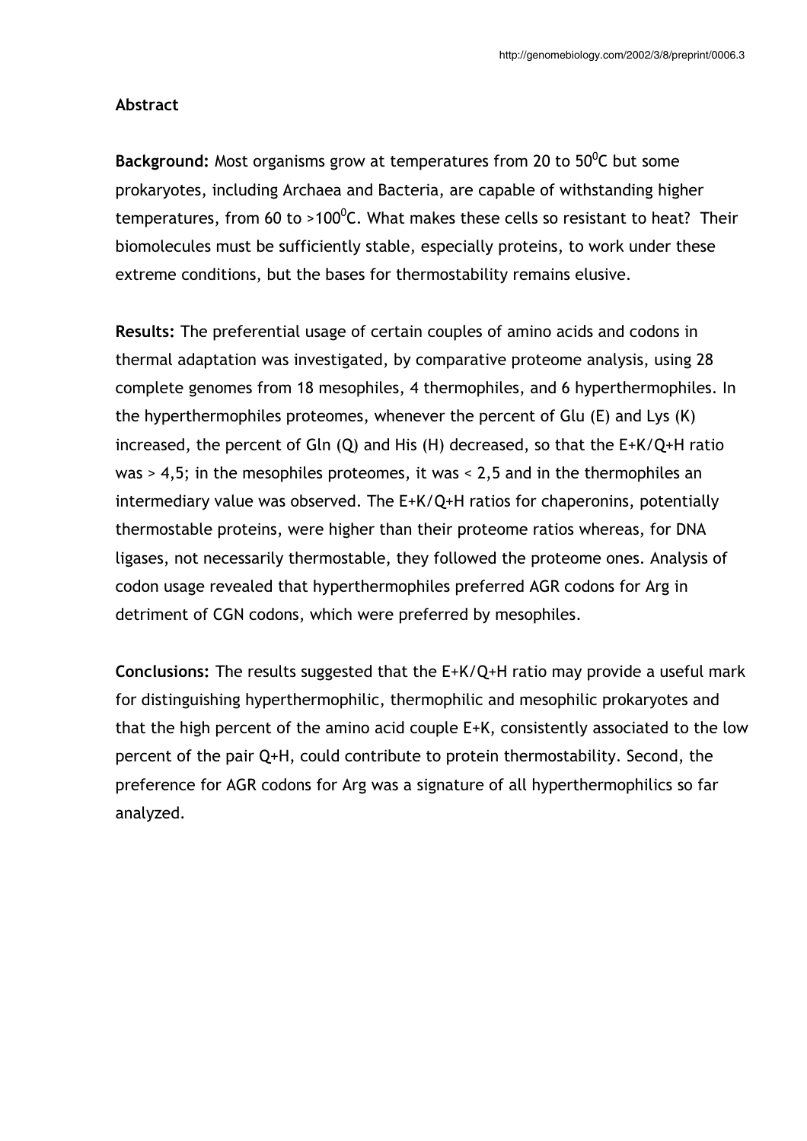### Abstract

Background: Most organisms grow at temperatures from 20 to 50 $^0$ C but some prokaryotes, including Archaea and Bacteria, are capable of withstanding higher temperatures, from 60 to >100<sup>0</sup>C. What makes these cells so resistant to heat? Their biomolecules must be sufficiently stable, especially proteins, to work under these extreme conditions, but the bases for thermostability remains elusive.

Results: The preferential usage of certain couples of amino acids and codons in thermal adaptation was investigated, by comparative proteome analysis, using 28 complete genomes from 18 mesophiles, 4 thermophiles, and 6 hyperthermophiles. In the hyperthermophiles proteomes, whenever the percent of Glu  $(E)$  and Lys  $(K)$ increased, the percent of Gln  $(Q)$  and His  $(H)$  decreased, so that the  $E+K/Q+H$  ratio was  $>$  4,5; in the mesophiles proteomes, it was  $<$  2,5 and in the thermophiles an intermediary value was observed. The  $E+K/Q+H$  ratios for chaperonins, potentially thermostable proteins, were higher than their proteome ratios whereas, for DNA ligases, not necessarily thermostable, they followed the proteome ones. Analysis of codon usage revealed that hyperthermophiles preferred AGR codons for Arg in detriment of CGN codons, which were preferred by mesophiles.

**Conclusions:** The results suggested that the  $E+K/Q+H$  ratio may provide a useful mark for distinguishing hyperthermophilic, thermophilic and mesophilic prokaryotes and that the high percent of the amino acid couple  $E+K$ , consistently associated to the low percent of the pair Q+H, could contribute to protein thermostability. Second, the preference for AGR codons for Arg was a signature of all hyperthermophilics so far analyzed.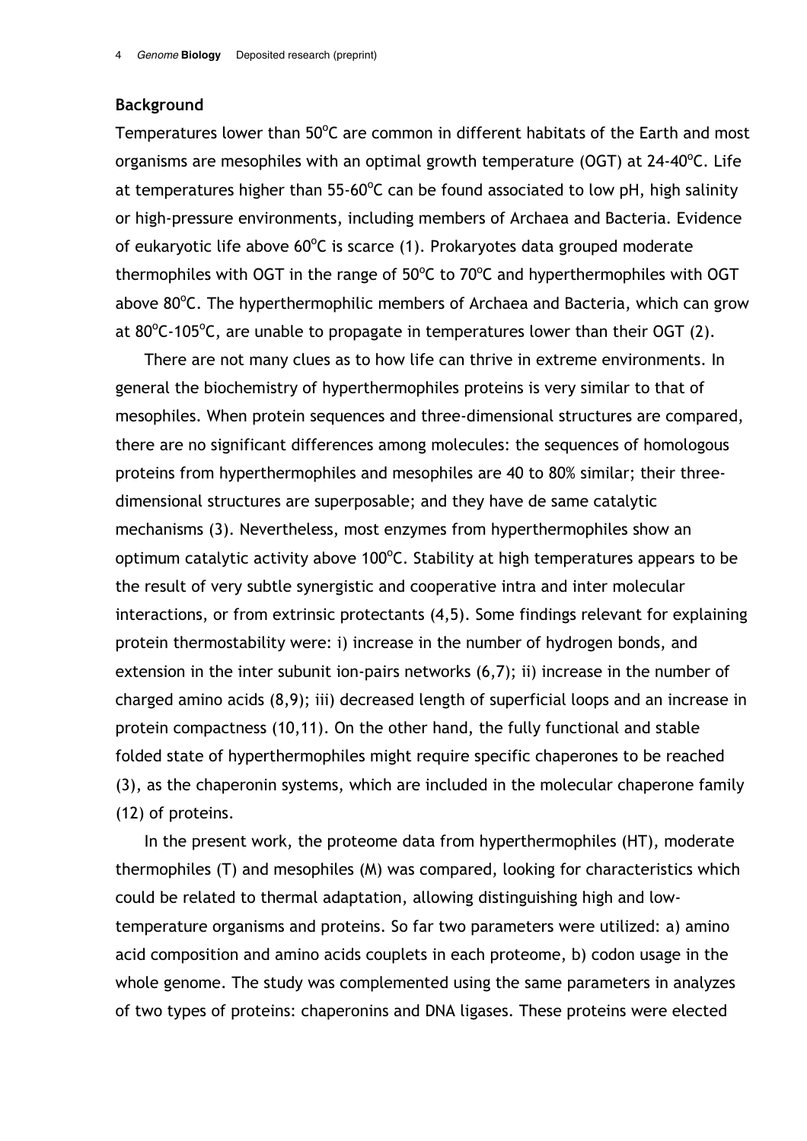### **Background**

Temperatures lower than 50°C are common in different habitats of the Earth and most organisms are mesophiles with an optimal growth temperature (OGT) at 24-40<sup>o</sup>C. Life at temperatures higher than 55-60°C can be found associated to low pH, high salinity or high-pressure environments, including members of Archaea and Bacteria. Evidence of eukaryotic life above 60°C is scarce (1). Prokaryotes data grouped moderate thermophiles with OGT in the range of 50°C to 70°C and hyperthermophiles with OGT above 80°C. The hyperthermophilic members of Archaea and Bacteria, which can grow at  $80^{\circ}$ C-105°C, are unable to propagate in temperatures lower than their OGT (2).

There are not many clues as to how life can thrive in extreme environments. In general the biochemistry of hyperthermophiles proteins is very similar to that of mesophiles. When protein sequences and three-dimensional structures are compared, there are no significant differences among molecules: the sequences of homologous proteins from hyperthermophiles and mesophiles are 40 to 80% similar; their threedimensional structures are superposable; and they have de same catalytic mechanisms (3). Nevertheless, most enzymes from hyperthermophiles show an optimum catalytic activity above  $100^{\circ}$ C. Stability at high temperatures appears to be the result of very subtle synergistic and cooperative intra and inter molecular interactions, or from extrinsic protectants (4,5). Some findings relevant for explaining protein thermostability were: i) increase in the number of hydrogen bonds, and extension in the inter subunit ion-pairs networks (6,7); ii) increase in the number of charged amino acids (8,9); iii) decreased length of superficial loops and an increase in protein compactness (10,11). On the other hand, the fully functional and stable folded state of hyperthermophiles might require specific chaperones to be reached (3), as the chaperonin systems, which are included in the molecular chaperone family (12) of proteins.

In the present work, the proteome data from hyperthermophiles (HT), moderate thermophiles (T) and mesophiles (M) was compared, looking for characteristics which could be related to thermal adaptation, allowing distinguishing high and lowtemperature organisms and proteins. So far two parameters were utilized: a) amino acid composition and amino acids couplets in each proteome, b) codon usage in the whole genome. The study was complemented using the same parameters in analyzes of two types of proteins: chaperonins and DNA ligases. These proteins were elected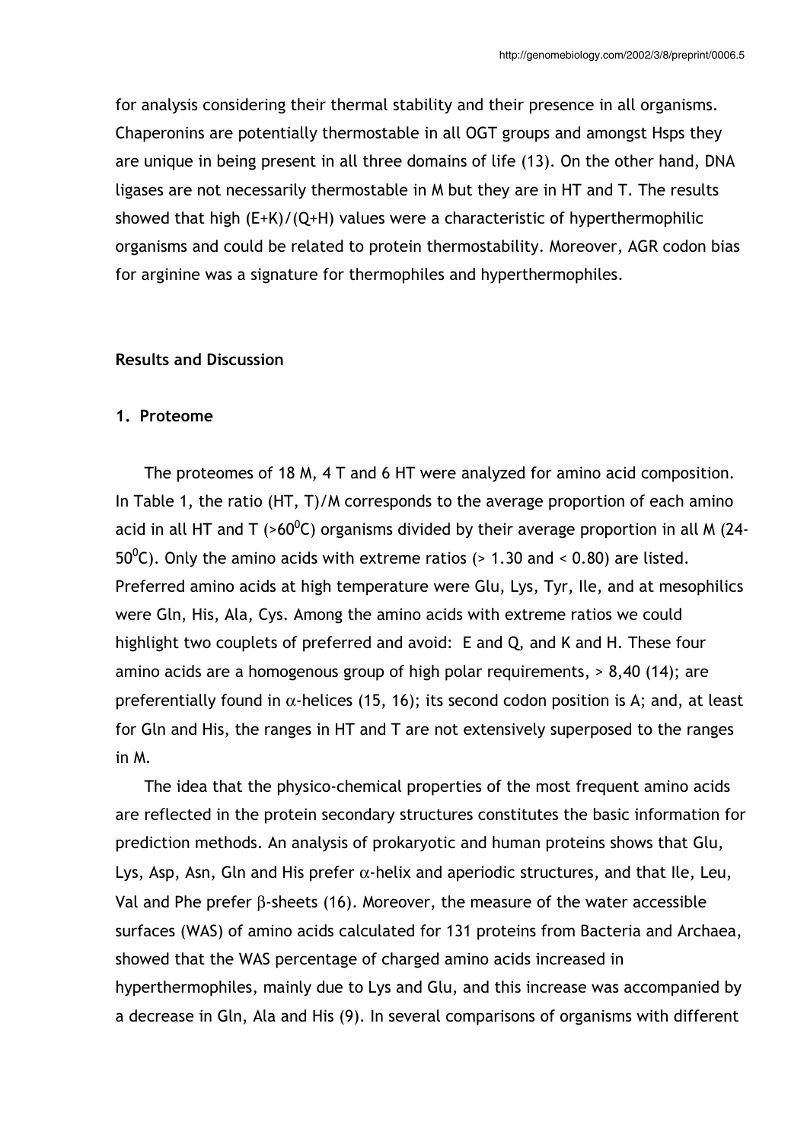for analysis considering their thermal stability and their presence in all organisms. Chaperonins are potentially thermostable in all OGT groups and amongst Hsps they are unique in being present in all three domains of life (13). On the other hand, DNA ligases are not necessarily thermostable in M but they are in HT and T. The results showed that high  $(E+K)/(Q+H)$  values were a characteristic of hyperthermophilic organisms and could be related to protein thermostability. Moreover, AGR codon bias for arginine was a signature for thermophiles and hyperthermophiles.

### **Results and Discussion**

#### 1. Proteome

The proteomes of 18 M, 4 T and 6 HT were analyzed for amino acid composition. In Table 1, the ratio (HT, T)/M corresponds to the average proportion of each amino acid in all HT and T (>60<sup>o</sup>C) organisms divided by their average proportion in all M (24- $50^{\circ}$ C). Only the amino acids with extreme ratios (> 1.30 and < 0.80) are listed. Preferred amino acids at high temperature were Glu, Lys, Tyr, Ile, and at mesophilics were Gln, His, Ala, Cys. Among the amino acids with extreme ratios we could highlight two couplets of preferred and avoid: E and Q, and K and H. These four amino acids are a homogenous group of high polar requirements, > 8,40 (14); are preferentially found in  $\alpha$ -helices (15, 16); its second codon position is A; and, at least for Gln and His, the ranges in HT and T are not extensively superposed to the ranges in M.

The idea that the physico-chemical properties of the most frequent amino acids are reflected in the protein secondary structures constitutes the basic information for prediction methods. An analysis of prokaryotic and human proteins shows that Glu, Lys, Asp, Asn, Gln and His prefer  $\alpha$ -helix and aperiodic structures, and that Ile, Leu, Val and Phe prefer B-sheets (16). Moreover, the measure of the water accessible surfaces (WAS) of amino acids calculated for 131 proteins from Bacteria and Archaea, showed that the WAS percentage of charged amino acids increased in hyperthermophiles, mainly due to Lys and Glu, and this increase was accompanied by a decrease in Gln, Ala and His (9). In several comparisons of organisms with different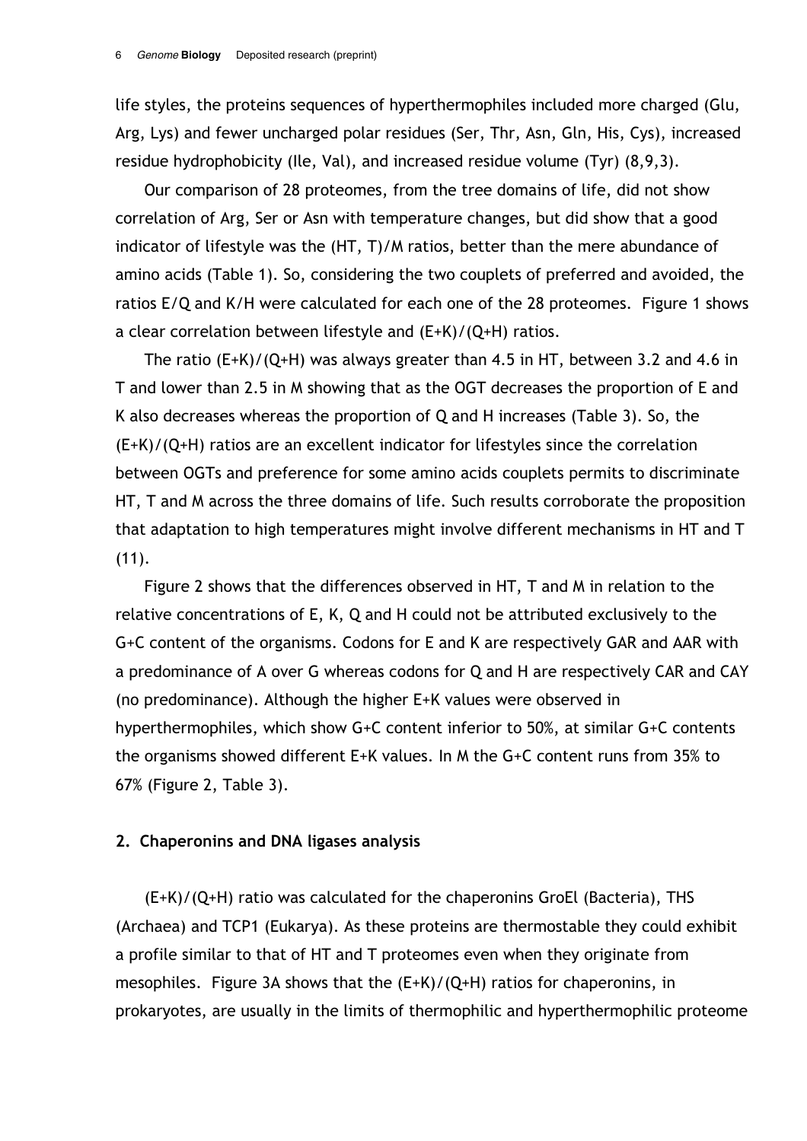life styles, the proteins sequences of hyperthermophiles included more charged (Glu, Arg, Lys) and fewer uncharged polar residues (Ser, Thr, Asn, Gln, His, Cys), increased residue hydrophobicity (Ile, Val), and increased residue volume (Tyr) (8,9,3).

Our comparison of 28 proteomes, from the tree domains of life, did not show correlation of Arg, Ser or Asn with temperature changes, but did show that a good indicator of lifestyle was the (HT, T)/M ratios, better than the mere abundance of amino acids (Table 1). So, considering the two couplets of preferred and avoided, the ratios E/Q and K/H were calculated for each one of the 28 proteomes. Figure 1 shows a clear correlation between lifestyle and  $(E+K)/(Q+H)$  ratios.

The ratio  $(E+K)/(Q+H)$  was always greater than 4.5 in HT, between 3.2 and 4.6 in T and lower than 2.5 in M showing that as the OGT decreases the proportion of E and K also decreases whereas the proportion of Q and H increases (Table 3). So, the  $(E+K)/(Q+H)$  ratios are an excellent indicator for lifestyles since the correlation between OGTs and preference for some amino acids couplets permits to discriminate HT, T and M across the three domains of life. Such results corroborate the proposition that adaptation to high temperatures might involve different mechanisms in HT and T  $(11).$ 

Figure 2 shows that the differences observed in HT, T and M in relation to the relative concentrations of E, K, Q and H could not be attributed exclusively to the G+C content of the organisms. Codons for E and K are respectively GAR and AAR with a predominance of A over G whereas codons for Q and H are respectively CAR and CAY (no predominance). Although the higher E+K values were observed in hyperthermophiles, which show G+C content inferior to 50%, at similar G+C contents the organisms showed different E+K values. In M the G+C content runs from 35% to 67% (Figure 2, Table 3).

### 2. Chaperonins and DNA ligases analysis

(E+K)/(Q+H) ratio was calculated for the chaperonins GroEl (Bacteria), THS (Archaea) and TCP1 (Eukarya). As these proteins are thermostable they could exhibit a profile similar to that of HT and T proteomes even when they originate from mesophiles. Figure 3A shows that the  $(E+K)/(Q+H)$  ratios for chaperonins, in prokaryotes, are usually in the limits of thermophilic and hyperthermophilic proteome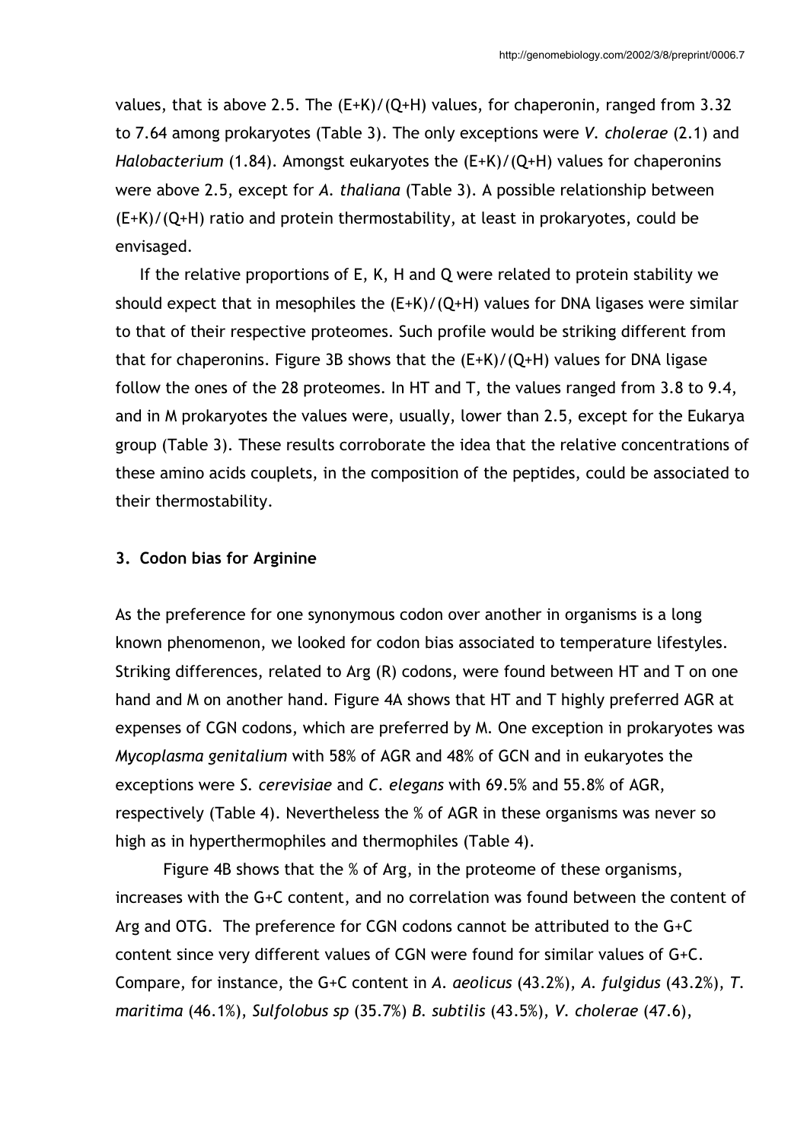values, that is above 2.5. The  $(E+K)/(Q+H)$  values, for chaperonin, ranged from 3.32 to 7.64 among prokaryotes (Table 3). The only exceptions were V. cholerae (2.1) and Halobacterium (1.84). Amongst eukaryotes the (E+K)/(Q+H) values for chaperonins were above 2.5, except for A. thaliana (Table 3). A possible relationship between  $(E+K)/(Q+H)$  ratio and protein thermostability, at least in prokaryotes, could be envisaged.

If the relative proportions of E, K, H and Q were related to protein stability we should expect that in mesophiles the  $(E+K)/(Q+H)$  values for DNA ligases were similar to that of their respective proteomes. Such profile would be striking different from that for chaperonins. Figure 3B shows that the  $(E+K)/(Q+H)$  values for DNA ligase follow the ones of the 28 proteomes. In HT and T, the values ranged from 3.8 to 9.4, and in M prokaryotes the values were, usually, lower than 2.5, except for the Eukarya group (Table 3). These results corroborate the idea that the relative concentrations of these amino acids couplets, in the composition of the peptides, could be associated to their thermostability.

### 3. Codon bias for Arginine

As the preference for one synonymous codon over another in organisms is a long known phenomenon, we looked for codon bias associated to temperature lifestyles. Striking differences, related to Arg (R) codons, were found between HT and T on one hand and M on another hand. Figure 4A shows that HT and T highly preferred AGR at expenses of CGN codons, which are preferred by M. One exception in prokaryotes was Mycoplasma genitalium with 58% of AGR and 48% of GCN and in eukaryotes the exceptions were S. cerevisiae and C. elegans with 69.5% and 55.8% of AGR, respectively (Table 4). Nevertheless the % of AGR in these organisms was never so high as in hyperthermophiles and thermophiles (Table 4).

Figure 4B shows that the % of Arg, in the proteome of these organisms, increases with the G+C content, and no correlation was found between the content of Arg and OTG. The preference for CGN codons cannot be attributed to the G+C content since very different values of CGN were found for similar values of G+C. Compare, for instance, the G+C content in A. aeolicus (43.2%), A. fulgidus (43.2%), T. maritima (46.1%), Sulfolobus sp (35.7%) B. subtilis (43.5%), V. cholerae (47.6),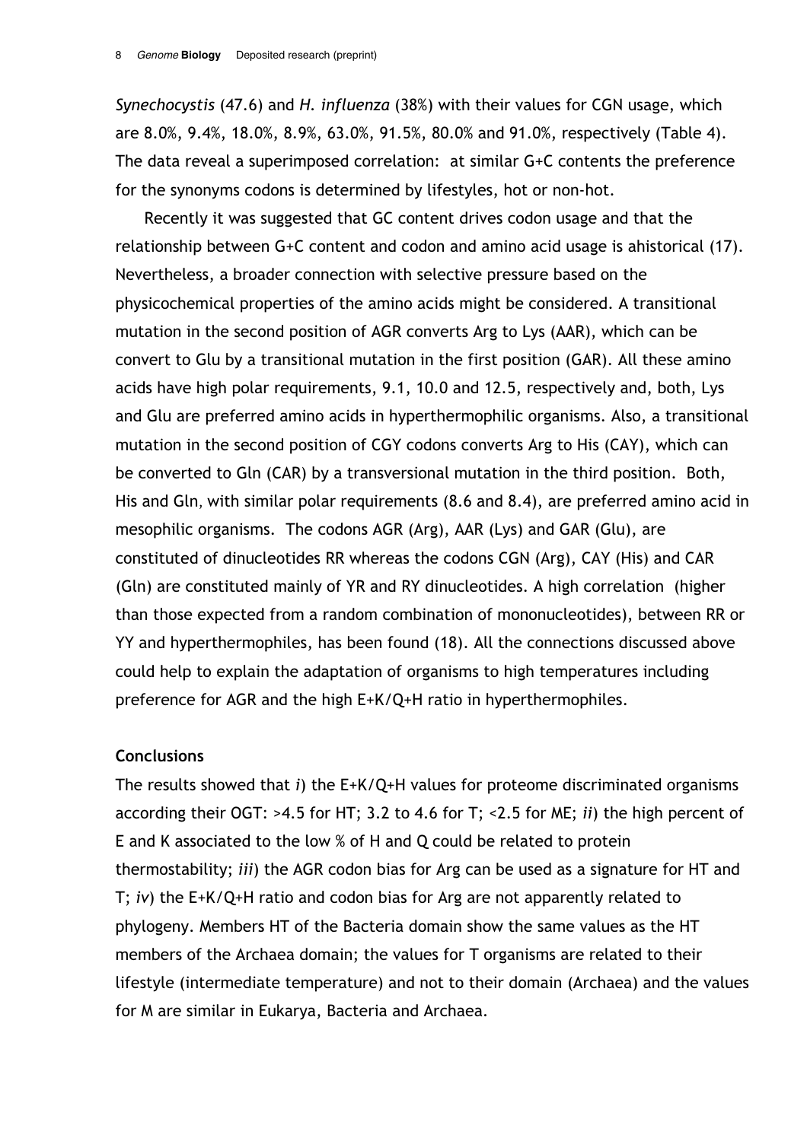Synechocystis (47.6) and H. influenza (38%) with their values for CGN usage, which are 8.0%, 9.4%, 18.0%, 8.9%, 63.0%, 91.5%, 80.0% and 91.0%, respectively (Table 4). The data reveal a superimposed correlation: at similar G+C contents the preference for the synonyms codons is determined by lifestyles, hot or non-hot.

Recently it was suggested that GC content drives codon usage and that the relationship between G+C content and codon and amino acid usage is ahistorical (17). Nevertheless, a broader connection with selective pressure based on the physicochemical properties of the amino acids might be considered. A transitional mutation in the second position of AGR converts Arg to Lys (AAR), which can be convert to Glu by a transitional mutation in the first position (GAR). All these amino acids have high polar requirements, 9.1, 10.0 and 12.5, respectively and, both, Lys and Glu are preferred amino acids in hyperthermophilic organisms. Also, a transitional mutation in the second position of CGY codons converts Arg to His (CAY), which can be converted to Gln (CAR) by a transversional mutation in the third position. Both, His and Gln, with similar polar requirements (8.6 and 8.4), are preferred amino acid in mesophilic organisms. The codons AGR (Arg), AAR (Lys) and GAR (Glu), are constituted of dinucleotides RR whereas the codons CGN (Arg), CAY (His) and CAR (Gln) are constituted mainly of YR and RY dinucleotides. A high correlation (higher than those expected from a random combination of mononucleotides), between RR or YY and hyperthermophiles, has been found (18). All the connections discussed above could help to explain the adaptation of organisms to high temperatures including preference for AGR and the high E+K/Q+H ratio in hyperthermophiles.

### **Conclusions**

The results showed that  $i$ ) the E+K/Q+H values for proteome discriminated organisms according their OGT: >4.5 for HT; 3.2 to 4.6 for T; <2.5 for ME; ii) the high percent of E and K associated to the low % of H and Q could be related to protein thermostability; *iii*) the AGR codon bias for Arg can be used as a signature for HT and T;  $iv$ ) the E+K/Q+H ratio and codon bias for Arg are not apparently related to phylogeny. Members HT of the Bacteria domain show the same values as the HT members of the Archaea domain; the values for T organisms are related to their lifestyle (intermediate temperature) and not to their domain (Archaea) and the values for M are similar in Eukarya, Bacteria and Archaea.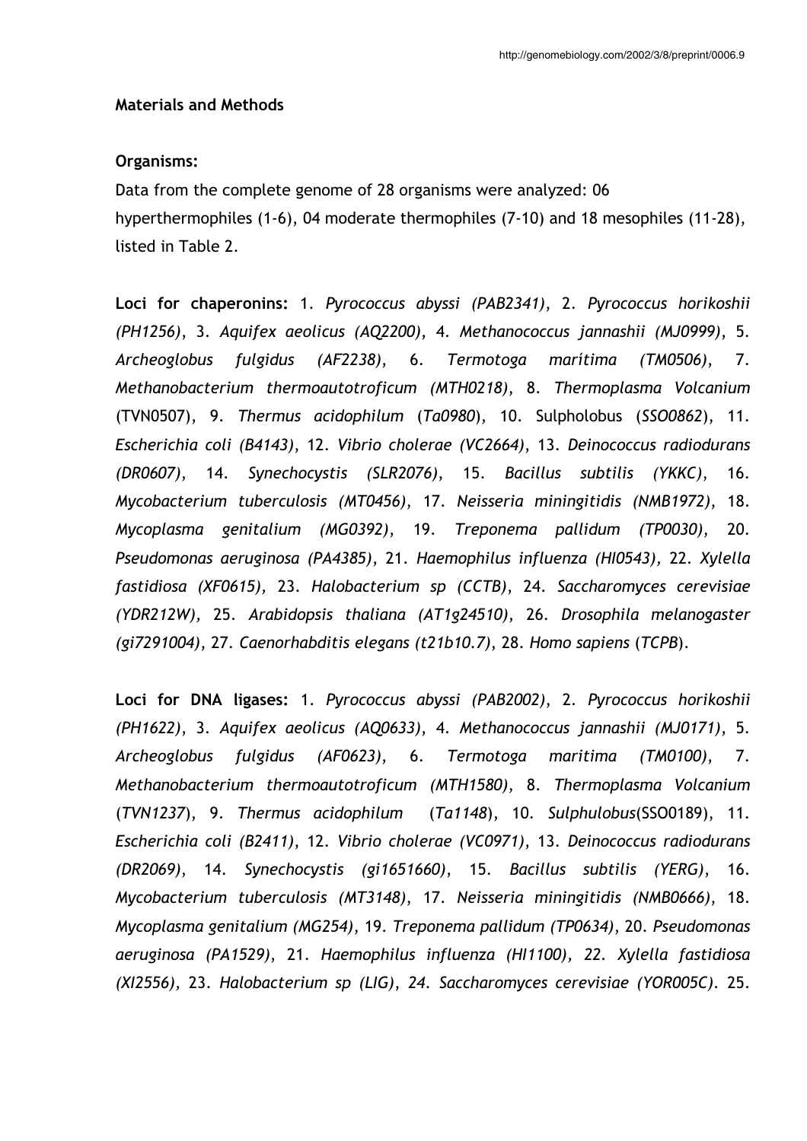#### **Materials and Methods**

### Organisms:

Data from the complete genome of 28 organisms were analyzed: 06 hyperthermophiles (1-6), 04 moderate thermophiles (7-10) and 18 mesophiles (11-28), listed in Table 2.

Loci for chaperonins: 1. Pyrococcus abyssi (PAB2341), 2. Pyrococcus horikoshii (PH1256), 3. Aquifex aeolicus (AQ2200), 4. Methanococcus jannashii (MJ0999), 5. (AF2238), 6. Termotoga marítima Archeoglobus fulgidus  $(TM0506),$ 7. Methanobacterium thermoautotroficum (MTH0218), 8. Thermoplasma Volcanium (TVN0507), 9. Thermus acidophilum (Ta0980), 10. Sulpholobus (SSO0862), 11. Escherichia coli (B4143), 12. Vibrio cholerae (VC2664), 13. Deinococcus radiodurans (DR0607), 14. Synechocystis (SLR2076), 15. Bacillus subtilis (YKKC),  $16.$ Mycobacterium tuberculosis (MT0456), 17. Neisseria miningitidis (NMB1972), 18. Mycoplasma genitalium (MG0392), 19. Treponema pallidum (TP0030),  $20.$ Pseudomonas aeruginosa (PA4385), 21. Haemophilus influenza (HI0543), 22. Xylella fastidiosa (XF0615), 23. Halobacterium sp (CCTB), 24. Saccharomyces cerevisiae (YDR212W), 25. Arabidopsis thaliana (AT1g24510), 26. Drosophila melanogaster (gi7291004), 27. Caenorhabditis elegans (t21b10.7), 28. Homo sapiens (TCPB).

Loci for DNA ligases: 1. Pyrococcus abyssi (PAB2002), 2. Pyrococcus horikoshii (PH1622), 3. Aquifex aeolicus (AQ0633), 4. Methanococcus jannashii (MJ0171), 5. fulgidus (AF0623), 6. Termotoga Archeoglobus maritima  $(TM0100),$ 7. Methanobacterium thermoautotroficum (MTH1580), 8. Thermoplasma Volcanium (TVN1237), 9. Thermus acidophilum (Ta1148), 10. Sulphulobus(SSO0189), 11. Escherichia coli (B2411), 12. Vibrio cholerae (VC0971), 13. Deinococcus radiodurans (DR2069), 14. Synechocystis (gi1651660), 15. Bacillus subtilis (YERG),  $16.$ Mycobacterium tuberculosis (MT3148), 17. Neisseria miningitidis (NMB0666), 18. Mycoplasma genitalium (MG254), 19. Treponema pallidum (TP0634), 20. Pseudomonas aeruginosa (PA1529), 21. Haemophilus influenza (HI1100), 22. Xylella fastidiosa (XI2556), 23. Halobacterium sp (LIG), 24. Saccharomyces cerevisiae (YOR005C). 25.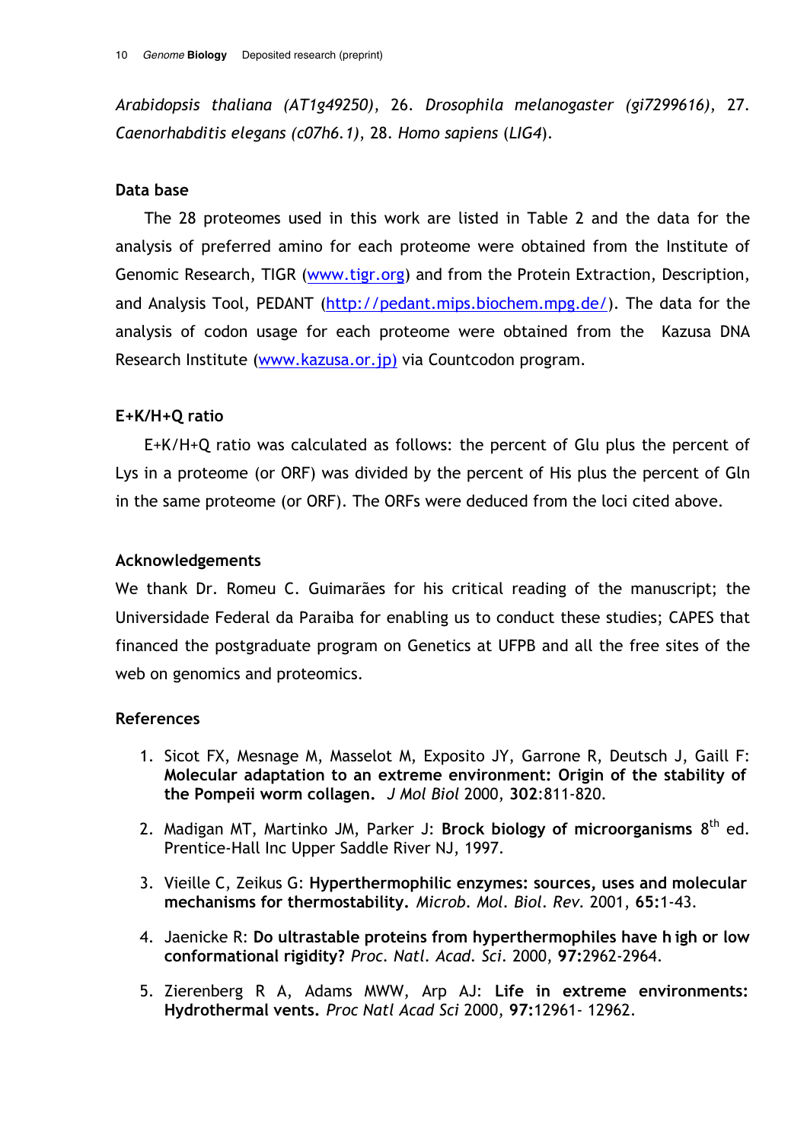Arabidopsis thaliana (AT1g49250), 26. Drosophila melanogaster (gi7299616), 27. Caenorhabditis elegans (c07h6.1), 28. Homo sapiens (LIG4).

## Data base

The 28 proteomes used in this work are listed in Table 2 and the data for the analysis of preferred amino for each proteome were obtained from the Institute of Genomic Research, TIGR (www.tigr.org) and from the Protein Extraction, Description, and Analysis Tool, PEDANT (http://pedant.mips.biochem.mpg.de/). The data for the analysis of codon usage for each proteome were obtained from the Kazusa DNA Research Institute (www.kazusa.or.jp) via Countcodon program.

# $E+K/H+O$  ratio

E+K/H+Q ratio was calculated as follows: the percent of Glu plus the percent of Lys in a proteome (or ORF) was divided by the percent of His plus the percent of Gln in the same proteome (or ORF). The ORFs were deduced from the loci cited above.

## **Acknowledgements**

We thank Dr. Romeu C. Guimarães for his critical reading of the manuscript: the Universidade Federal da Paraiba for enabling us to conduct these studies; CAPES that financed the postgraduate program on Genetics at UFPB and all the free sites of the web on genomics and proteomics.

# **References**

- 1. Sicot FX, Mesnage M, Masselot M, Exposito JY, Garrone R, Deutsch J, Gaill F: Molecular adaptation to an extreme environment: Origin of the stability of the Pompeii worm collagen. J Mol Biol 2000, 302:811-820.
- 2. Madigan MT, Martinko JM, Parker J: Brock biology of microorganisms 8<sup>th</sup> ed. Prentice-Hall Inc Upper Saddle River NJ, 1997.
- 3. Vieille C, Zeikus G: Hyperthermophilic enzymes: sources, uses and molecular mechanisms for thermostability. Microb. Mol. Biol. Rev. 2001, 65:1-43.
- 4. Jaenicke R: Do ultrastable proteins from hyperthermophiles have high or low conformational rigidity? Proc. Natl. Acad. Sci. 2000, 97:2962-2964.
- 5. Zierenberg R A, Adams MWW, Arp AJ: Life in extreme environments: Hydrothermal vents. Proc Natl Acad Sci 2000, 97:12961-12962.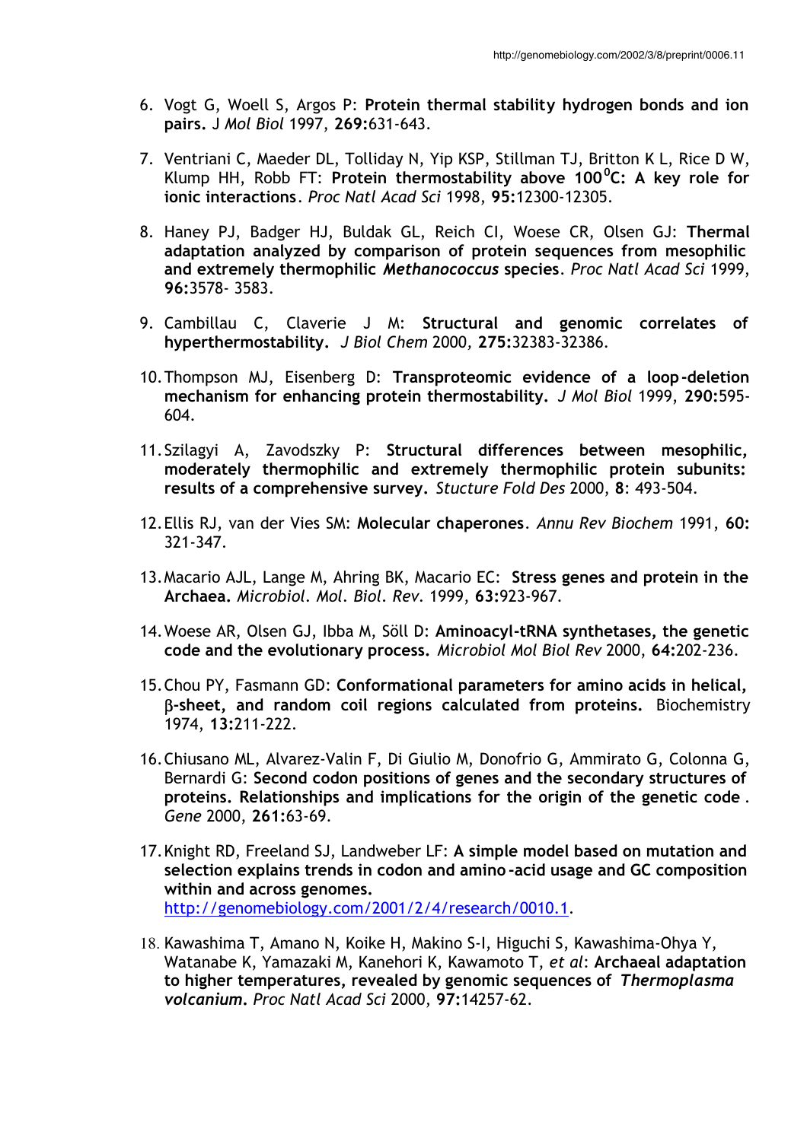- 6. Vogt G, Woell S, Argos P: Protein thermal stability hydrogen bonds and ion pairs. J Mol Biol 1997, 269:631-643.
- 7. Ventriani C, Maeder DL, Tolliday N, Yip KSP, Stillman TJ, Britton K L, Rice D W, Klump HH, Robb FT: Protein thermostability above 100 $^0$ C: A key role for ionic interactions. Proc Natl Acad Sci 1998, 95:12300-12305.
- 8. Haney PJ, Badger HJ, Buldak GL, Reich CI, Woese CR, Olsen GJ: Thermal adaptation analyzed by comparison of protein sequences from mesophilic and extremely thermophilic Methanococcus species. Proc Natl Acad Sci 1999, 96:3578-3583.
- 9. Cambillau C, Claverie J M: Structural and genomic correlates of hyperthermostability. J Biol Chem 2000, 275:32383-32386.
- 10. Thompson MJ, Eisenberg D: Transproteomic evidence of a loop-deletion mechanism for enhancing protein thermostability. J Mol Biol 1999, 290:595- $604.$
- 11. Szilagyi A, Zavodszky P: Structural differences between mesophilic, moderately thermophilic and extremely thermophilic protein subunits: results of a comprehensive survey. Stucture Fold Des 2000, 8: 493-504.
- 12. Ellis RJ, van der Vies SM: Molecular chaperones. Annu Rev Biochem 1991, 60:  $321 - 347$ .
- 13. Macario AJL, Lange M, Ahring BK, Macario EC: Stress genes and protein in the Archaea. Microbiol. Mol. Biol. Rev. 1999, 63:923-967.
- 14. Woese AR, Olsen GJ, Ibba M, Söll D: Aminoacyl-tRNA synthetases, the genetic code and the evolutionary process. Microbiol Mol Biol Rev 2000, 64:202-236.
- 15. Chou PY, Fasmann GD: Conformational parameters for amino acids in helical, B-sheet, and random coil regions calculated from proteins. Biochemistry 1974, 13:211-222.
- 16. Chiusano ML, Alvarez-Valin F, Di Giulio M, Donofrio G, Ammirato G, Colonna G, Bernardi G: Second codon positions of genes and the secondary structures of proteins. Relationships and implications for the origin of the genetic code. Gene 2000, 261:63-69.
- 17. Knight RD, Freeland SJ, Landweber LF: A simple model based on mutation and selection explains trends in codon and amino-acid usage and GC composition within and across genomes. http://genomebiology.com/2001/2/4/research/0010.1.
- 18. Kawashima T, Amano N, Koike H, Makino S-I, Higuchi S, Kawashima-Ohya Y, Watanabe K, Yamazaki M, Kanehori K, Kawamoto T, et al: Archaeal adaptation to higher temperatures, revealed by genomic sequences of Thermoplasma volcanium. Proc Natl Acad Sci 2000, 97:14257-62.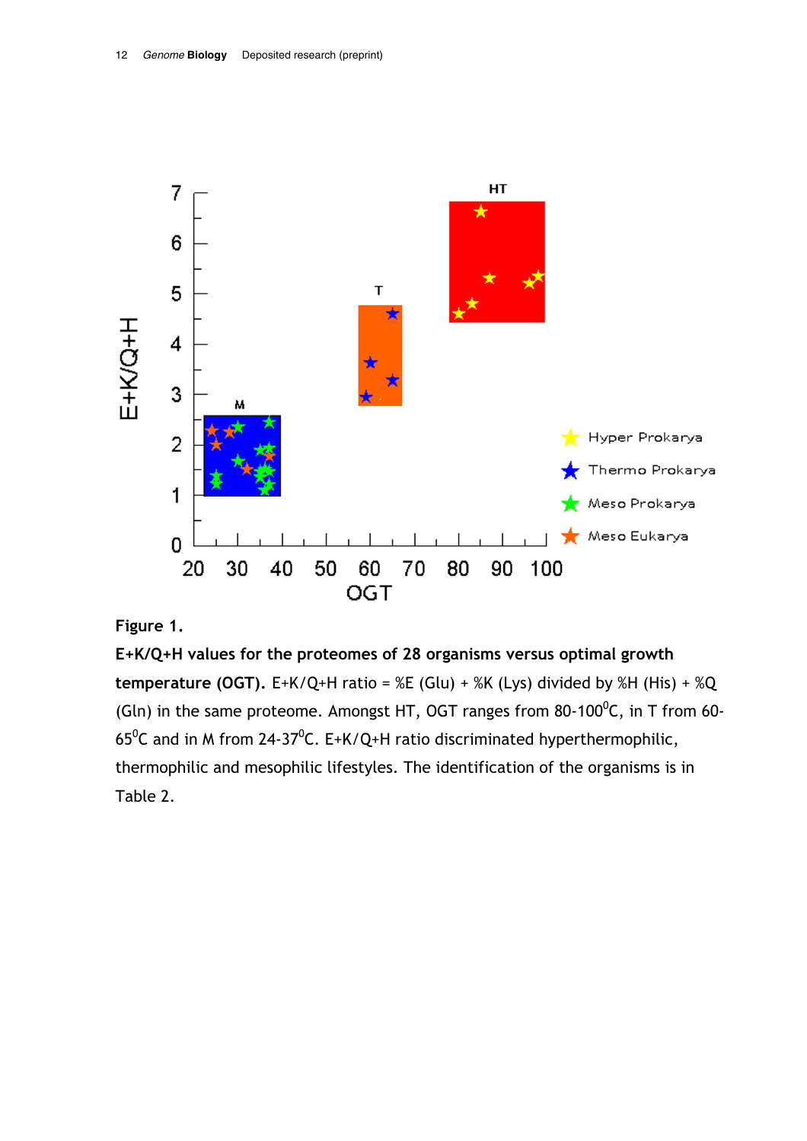

### Figure 1.

 $E+K/Q+H$  values for the proteomes of 28 organisms versus optimal growth temperature (OGT). E+K/Q+H ratio = %E (Glu) + %K (Lys) divided by %H (His) + %Q (Gln) in the same proteome. Amongst HT, OGT ranges from 80-100<sup>0</sup>C, in T from 60-65 $^0$ C and in M from 24-37 $^0$ C. E+K/Q+H ratio discriminated hyperthermophilic, thermophilic and mesophilic lifestyles. The identification of the organisms is in Table 2.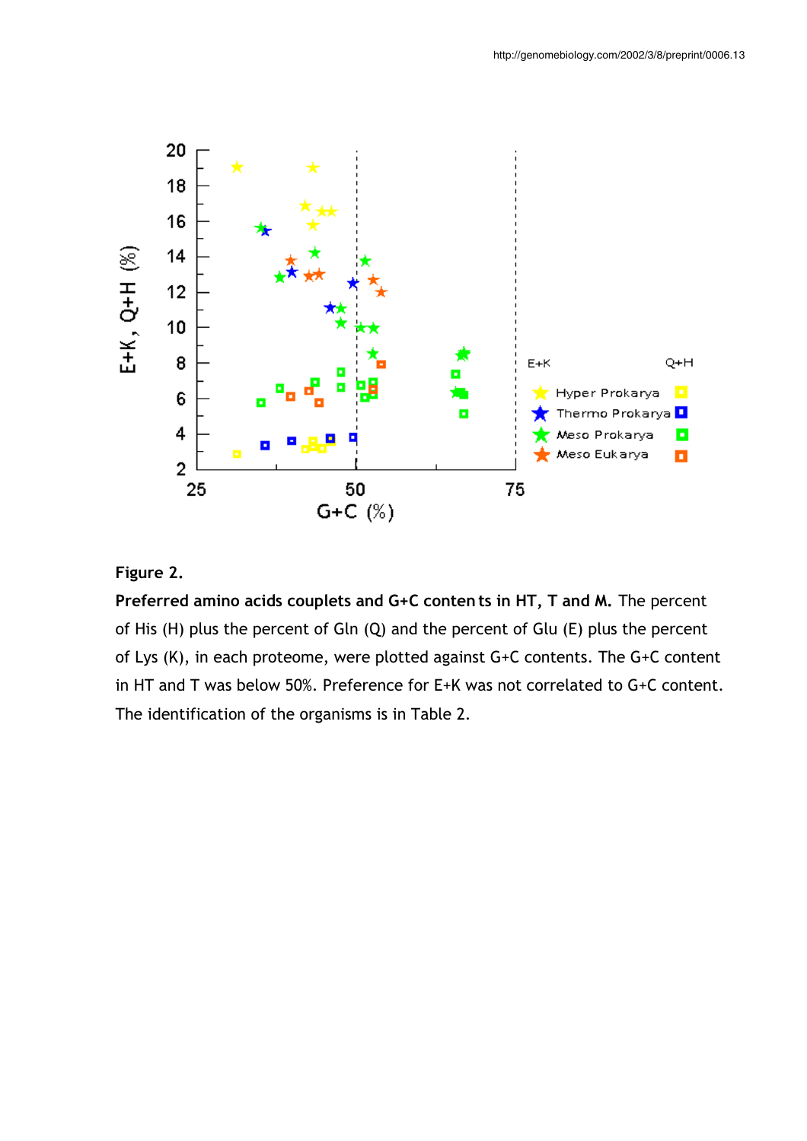

# Figure 2.

Preferred amino acids couplets and G+C contents in HT, T and M. The percent of His  $(H)$  plus the percent of Gln  $(Q)$  and the percent of Glu  $(E)$  plus the percent of Lys (K), in each proteome, were plotted against G+C contents. The G+C content in HT and T was below 50%. Preference for E+K was not correlated to G+C content. The identification of the organisms is in Table 2.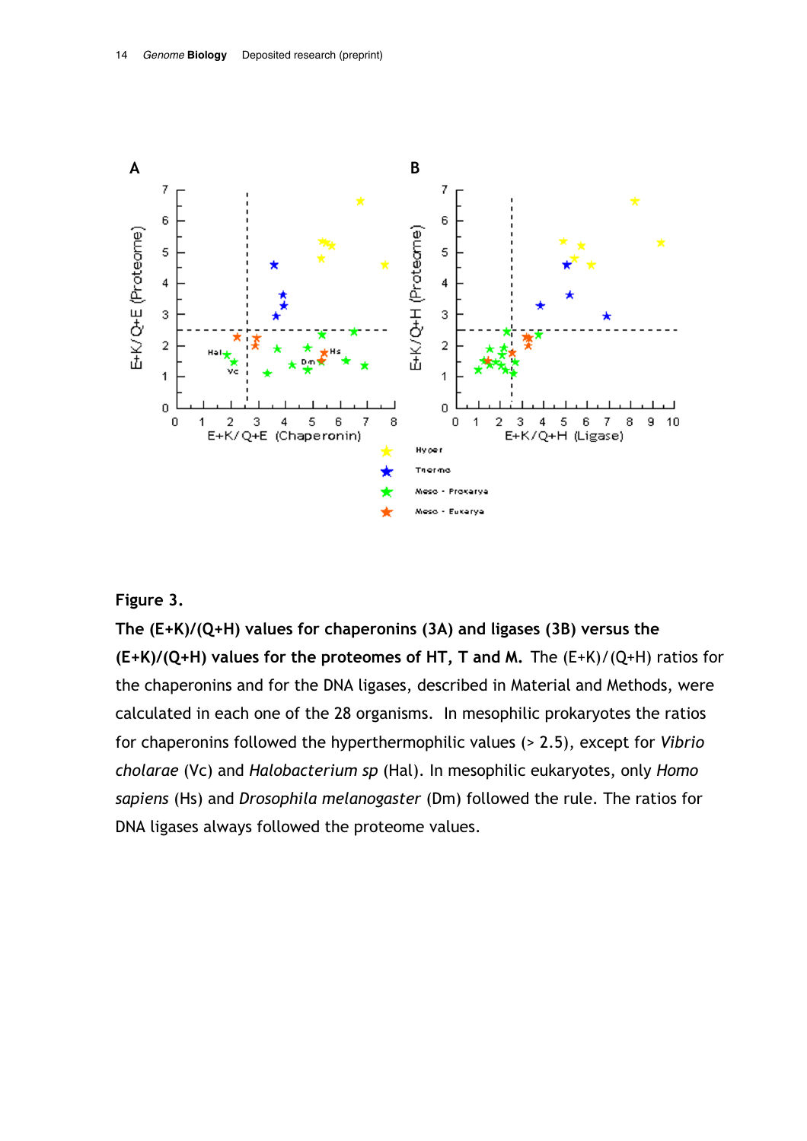

### Figure 3.

The  $(E+K)/(Q+H)$  values for chaperonins (3A) and ligases (3B) versus the  $(E+K)/(Q+H)$  values for the proteomes of HT, T and M. The  $(E+K)/(Q+H)$  ratios for the chaperonins and for the DNA ligases, described in Material and Methods, were calculated in each one of the 28 organisms. In mesophilic prokaryotes the ratios for chaperonins followed the hyperthermophilic values  $($  > 2.5), except for *Vibrio* cholarae (Vc) and Halobacterium sp (Hal). In mesophilic eukaryotes, only Homo sapiens (Hs) and *Drosophila melanogaster* (Dm) followed the rule. The ratios for DNA ligases always followed the proteome values.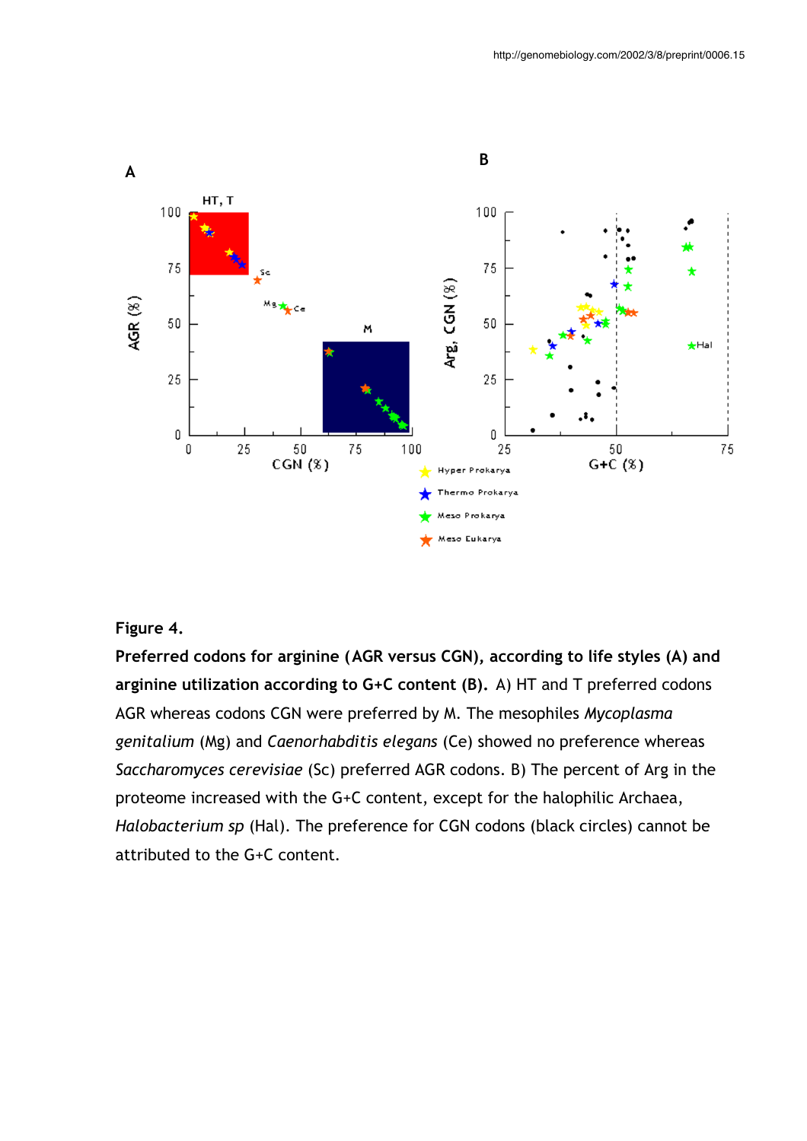

### Figure 4.

Preferred codons for arginine (AGR versus CGN), according to life styles (A) and arginine utilization according to  $G+C$  content (B). A) HT and T preferred codons AGR whereas codons CGN were preferred by M. The mesophiles *Mycoplasma* genitalium (Mg) and Caenorhabditis elegans (Ce) showed no preference whereas Saccharomyces cerevisiae (Sc) preferred AGR codons. B) The percent of Arg in the proteome increased with the G+C content, except for the halophilic Archaea, Halobacterium sp (Hal). The preference for CGN codons (black circles) cannot be attributed to the G+C content.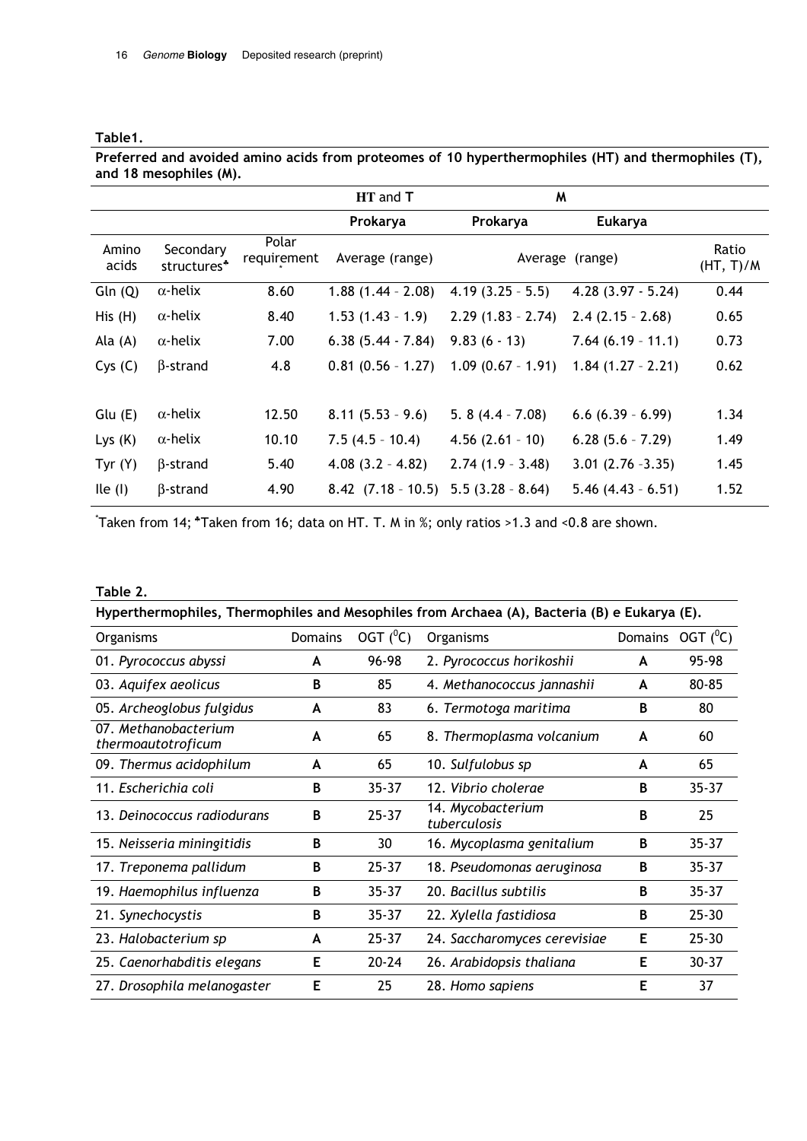#### Table1.

Preferred and avoided amino acids from proteomes of 10 hyperthermophiles (HT) and thermophiles (T), and 18 mesophiles (M).

|                |                                      |                      | HT and T<br>M          |                      |                       |                    |
|----------------|--------------------------------------|----------------------|------------------------|----------------------|-----------------------|--------------------|
|                |                                      |                      | Prokarya               | Prokarya             | <b>Eukarya</b>        |                    |
| Amino<br>acids | Secondary<br>structures <sup>*</sup> | Polar<br>requirement | Average (range)        |                      | Average (range)       | Ratio<br>(HT, T)/M |
| Gln(Q)         | $\alpha$ -helix                      | 8.60                 | $1.88(1.44 - 2.08)$    | $4.19(3.25 - 5.5)$   | $4.28(3.97 - 5.24)$   | 0.44               |
| His(H)         | $\alpha$ -helix                      | 8.40                 | $1.53(1.43 - 1.9)$     | $2.29(1.83 - 2.74)$  | $2.4(2.15 - 2.68)$    | 0.65               |
| Ala $(A)$      | $\alpha$ -helix                      | 7.00                 | $6.38(5.44 - 7.84)$    | $9.83(6 - 13)$       | $7.64(6.19 - 11.1)$   | 0.73               |
| Cys(C)         | $\beta$ -strand                      | 4.8                  | $0.81(0.56 - 1.27)$    | $1.09$ (0.67 - 1.91) | $1.84(1.27 - 2.21)$   | 0.62               |
| Glu (E)        | $\alpha$ -helix                      | 12.50                | $8.11(5.53 - 9.6)$     | 5. $8(4.4 - 7.08)$   | $6.6$ $(6.39 - 6.99)$ | 1.34               |
| Lys $(K)$      | $\alpha$ -helix                      | 10.10                | $7.5(4.5 - 10.4)$      | $4.56(2.61 - 10)$    | $6.28(5.6 - 7.29)$    | 1.49               |
| Tyr $(Y)$      | $\beta$ -strand                      | 5.40                 | $4.08(3.2 - 4.82)$     | $2.74(1.9 - 3.48)$   | $3.01(2.76 - 3.35)$   | 1.45               |
| lle(1)         | $\beta$ -strand                      | 4.90                 | $8.42$ $(7.18 - 10.5)$ | $5.5(3.28 - 8.64)$   | $5.46$ (4.43 - 6.51)  | 1.52               |

\*Taken from 14; \*Taken from 16; data on HT. T. M in %; only ratios >1.3 and <0.8 are shown.

#### Table 2.

| Hyperthermophiles, Thermophiles and Mesophiles from Archaea (A), Bacteria (B) e Eukarya (E). |                |               |                                   |                |             |  |  |  |
|----------------------------------------------------------------------------------------------|----------------|---------------|-----------------------------------|----------------|-------------|--|--|--|
| Organisms                                                                                    | <b>Domains</b> | OGT $(^{0}C)$ | Organisms                         | <b>Domains</b> | OGT $(^0C)$ |  |  |  |
| 01. Pyrococcus abyssi                                                                        | A              | 96-98         | 2. Pyrococcus horikoshii          | A              | 95-98       |  |  |  |
| 03. Aquifex aeolicus                                                                         | B              | 85            | 4. Methanococcus jannashii        | A              | 80-85       |  |  |  |
| 05. Archeoglobus fulgidus                                                                    | A              | 83            | 6. Termotoga maritima             | B              | 80          |  |  |  |
| 07. Methanobacterium<br>thermoautotroficum                                                   | A              | 65            | 8. Thermoplasma volcanium         | A              | 60          |  |  |  |
| 09. Thermus acidophilum                                                                      | A              | 65            | 10. Sulfulobus sp                 | A              | 65          |  |  |  |
| 11. Escherichia coli                                                                         | B              | $35 - 37$     | 12. Vibrio cholerae               | B              | $35 - 37$   |  |  |  |
| 13. Deinococcus radiodurans                                                                  | B              | $25 - 37$     | 14. Mycobacterium<br>tuberculosis | B              | 25          |  |  |  |
| 15. Neisseria miningitidis                                                                   | B              | 30            | 16. Mycoplasma genitalium         | B              | $35 - 37$   |  |  |  |
| 17. Treponema pallidum                                                                       | B              | $25 - 37$     | 18. Pseudomonas aeruginosa        | B              | $35 - 37$   |  |  |  |
| 19. Haemophilus influenza                                                                    | B              | $35 - 37$     | 20. Bacillus subtilis             | B              | $35 - 37$   |  |  |  |
| 21. Synechocystis                                                                            | B              | $35 - 37$     | 22. Xylella fastidiosa            | B              | $25 - 30$   |  |  |  |
| 23. Halobacterium sp                                                                         | A              | $25 - 37$     | 24. Saccharomyces cerevisiae      | Е              | $25 - 30$   |  |  |  |
| 25. Caenorhabditis elegans                                                                   | Е              | $20 - 24$     | 26. Arabidopsis thaliana          | Е              | $30 - 37$   |  |  |  |
| 27. Drosophila melanogaster                                                                  | Е              | 25            | 28. Homo sapiens                  | Е              | 37          |  |  |  |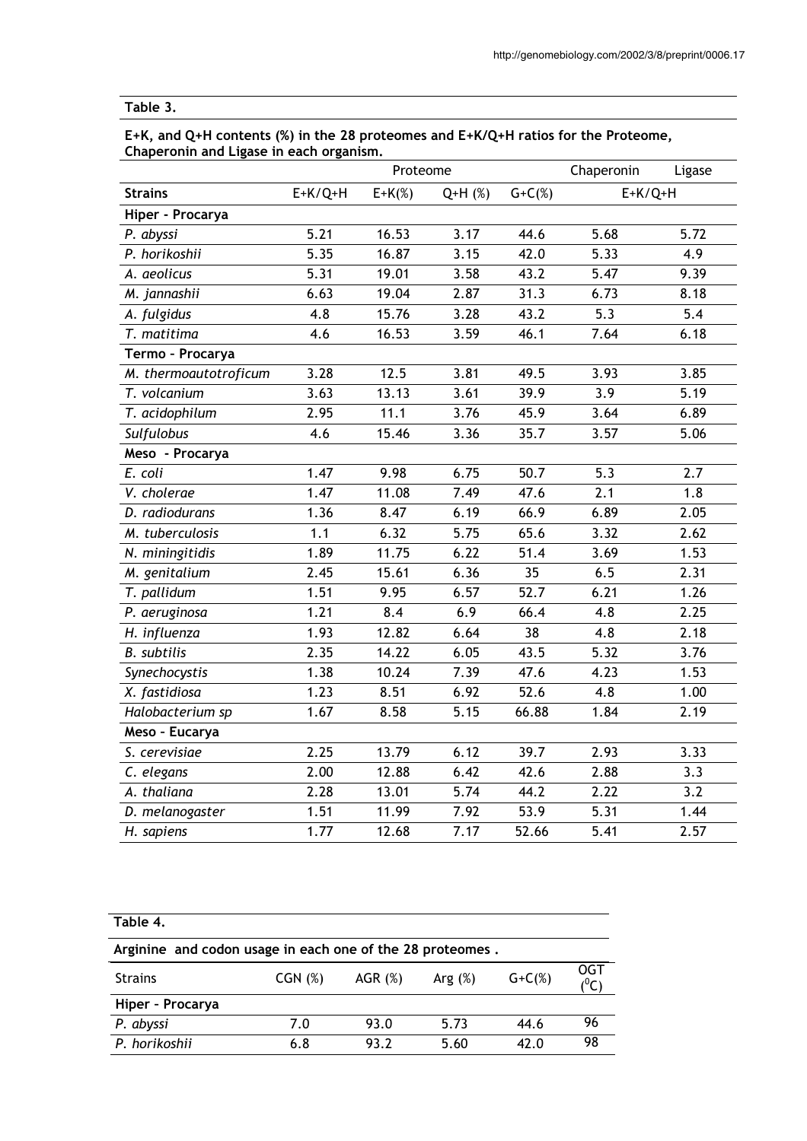# Table 3.

| E+K, and Q+H contents (%) in the 28 proteomes and E+K/Q+H ratios for the Proteome, |  |
|------------------------------------------------------------------------------------|--|
| Chaperonin and Ligase in each organism.                                            |  |

|                       |           | Proteome  |          |             | Chaperonin | Ligase |
|-----------------------|-----------|-----------|----------|-------------|------------|--------|
| <b>Strains</b>        | $E+K/Q+H$ | $E+K(\%)$ | $Q+H(%)$ | $G + C(\%)$ | $E+K/Q+H$  |        |
| Hiper - Procarya      |           |           |          |             |            |        |
| P. abyssi             | 5.21      | 16.53     | 3.17     | 44.6        | 5.68       | 5.72   |
| P. horikoshii         | 5.35      | 16.87     | 3.15     | 42.0        | 5.33       | 4.9    |
| A. aeolicus           | 5.31      | 19.01     | 3.58     | 43.2        | 5.47       | 9.39   |
| M. jannashii          | 6.63      | 19.04     | 2.87     | 31.3        | 6.73       | 8.18   |
| A. fulgidus           | 4.8       | 15.76     | 3.28     | 43.2        | 5.3        | 5.4    |
| T. matitima           | 4.6       | 16.53     | 3.59     | 46.1        | 7.64       | 6.18   |
| Termo - Procarya      |           |           |          |             |            |        |
| M. thermoautotroficum | 3.28      | 12.5      | 3.81     | 49.5        | 3.93       | 3.85   |
| T. volcanium          | 3.63      | 13.13     | 3.61     | 39.9        | 3.9        | 5.19   |
| T. acidophilum        | 2.95      | 11.1      | 3.76     | 45.9        | 3.64       | 6.89   |
| Sulfulobus            | 4.6       | 15.46     | 3.36     | 35.7        | 3.57       | 5.06   |
| Meso - Procarya       |           |           |          |             |            |        |
| E. coli               | 1.47      | 9.98      | 6.75     | 50.7        | 5.3        | 2.7    |
| V. cholerae           | 1.47      | 11.08     | 7.49     | 47.6        | 2.1        | 1.8    |
| D. radiodurans        | 1.36      | 8.47      | 6.19     | 66.9        | 6.89       | 2.05   |
| M. tuberculosis       | 1.1       | 6.32      | 5.75     | 65.6        | 3.32       | 2.62   |
| N. miningitidis       | 1.89      | 11.75     | 6.22     | 51.4        | 3.69       | 1.53   |
| M. genitalium         | 2.45      | 15.61     | 6.36     | 35          | 6.5        | 2.31   |
| T. pallidum           | 1.51      | 9.95      | 6.57     | 52.7        | 6.21       | 1.26   |
| P. aeruginosa         | 1.21      | 8.4       | 6.9      | 66.4        | 4.8        | 2.25   |
| H. influenza          | 1.93      | 12.82     | 6.64     | 38          | 4.8        | 2.18   |
| <b>B.</b> subtilis    | 2.35      | 14.22     | 6.05     | 43.5        | 5.32       | 3.76   |
| Synechocystis         | 1.38      | 10.24     | 7.39     | 47.6        | 4.23       | 1.53   |
| X. fastidiosa         | 1.23      | 8.51      | 6.92     | 52.6        | 4.8        | 1.00   |
| Halobacterium sp      | 1.67      | 8.58      | 5.15     | 66.88       | 1.84       | 2.19   |
| Meso - Eucarya        |           |           |          |             |            |        |
| S. cerevisiae         | 2.25      | 13.79     | 6.12     | 39.7        | 2.93       | 3.33   |
| C. elegans            | 2.00      | 12.88     | 6.42     | 42.6        | 2.88       | 3.3    |
| A. thaliana           | 2.28      | 13.01     | 5.74     | 44.2        | 2.22       | 3.2    |
| D. melanogaster       | 1.51      | 11.99     | 7.92     | 53.9        | 5.31       | 1.44   |
| H. sapiens            | 1.77      | 12.68     | 7.17     | 52.66       | 5.41       | 2.57   |

# Table 4.

| Arginine and codon usage in each one of the 28 proteomes. |              |           |           |             |     |  |
|-----------------------------------------------------------|--------------|-----------|-----------|-------------|-----|--|
| <b>Strains</b>                                            | $CGN$ $(\%)$ | AGR $(%)$ | Arg $(%)$ | $G + C(\%)$ | OGT |  |
| Hiper - Procarya                                          |              |           |           |             |     |  |
| P. abyssi                                                 | 7.0          | 93.0      | 5.73      | 44.6        | 96  |  |
| P. horikoshii                                             | 6.8          | 93.2      | 5.60      | 42.0        | 98  |  |